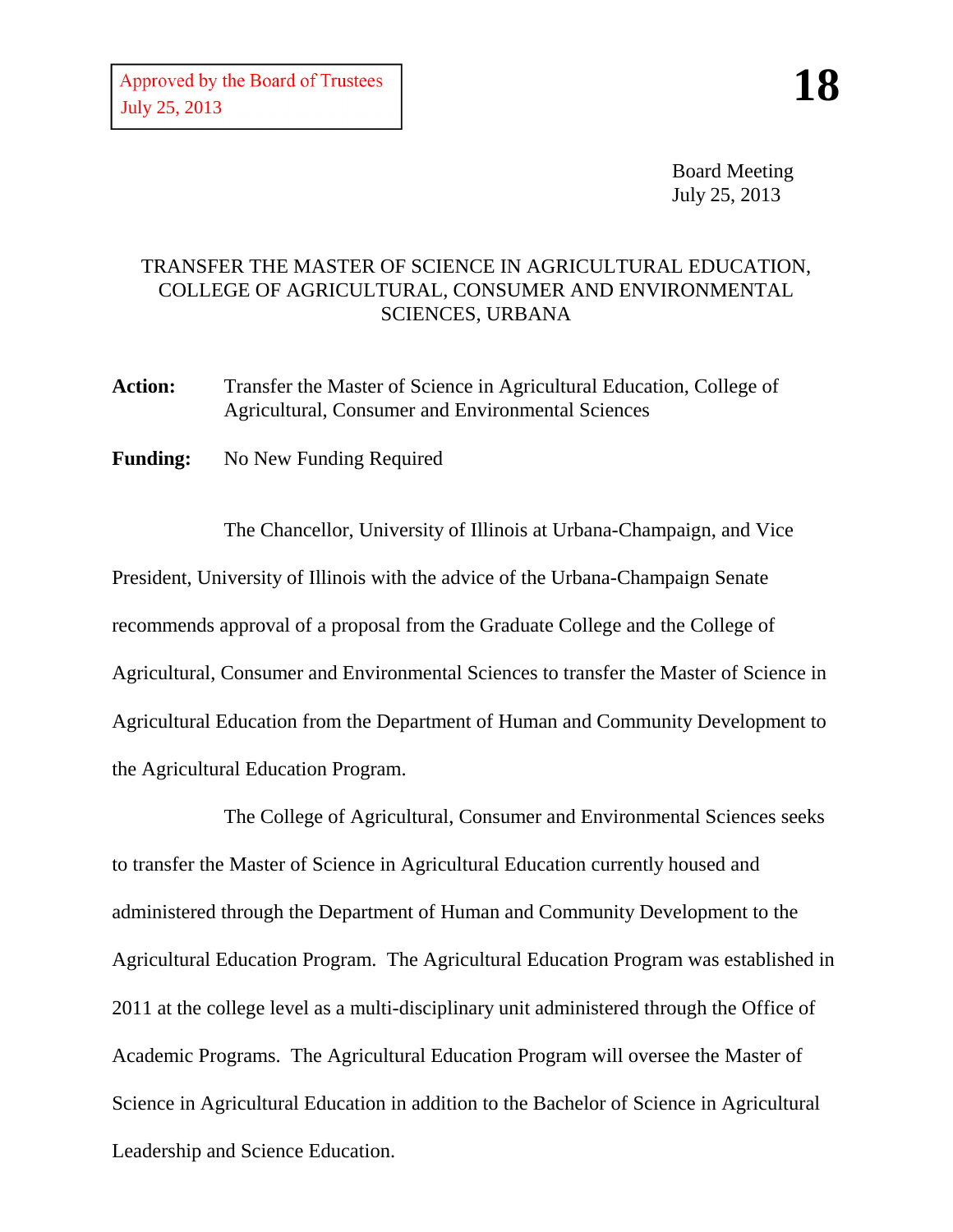Board Meeting July 25, 2013

## TRANSFER THE MASTER OF SCIENCE IN AGRICULTURAL EDUCATION, COLLEGE OF AGRICULTURAL, CONSUMER AND ENVIRONMENTAL SCIENCES, URBANA

**Action:** Transfer the Master of Science in Agricultural Education, College of Agricultural, Consumer and Environmental Sciences

**Funding:** No New Funding Required

The Chancellor, University of Illinois at Urbana-Champaign, and Vice President, University of Illinois with the advice of the Urbana-Champaign Senate recommends approval of a proposal from the Graduate College and the College of Agricultural, Consumer and Environmental Sciences to transfer the Master of Science in Agricultural Education from the Department of Human and Community Development to the Agricultural Education Program.

The College of Agricultural, Consumer and Environmental Sciences seeks to transfer the Master of Science in Agricultural Education currently housed and administered through the Department of Human and Community Development to the Agricultural Education Program. The Agricultural Education Program was established in 2011 at the college level as a multi-disciplinary unit administered through the Office of Academic Programs. The Agricultural Education Program will oversee the Master of Science in Agricultural Education in addition to the Bachelor of Science in Agricultural Leadership and Science Education.